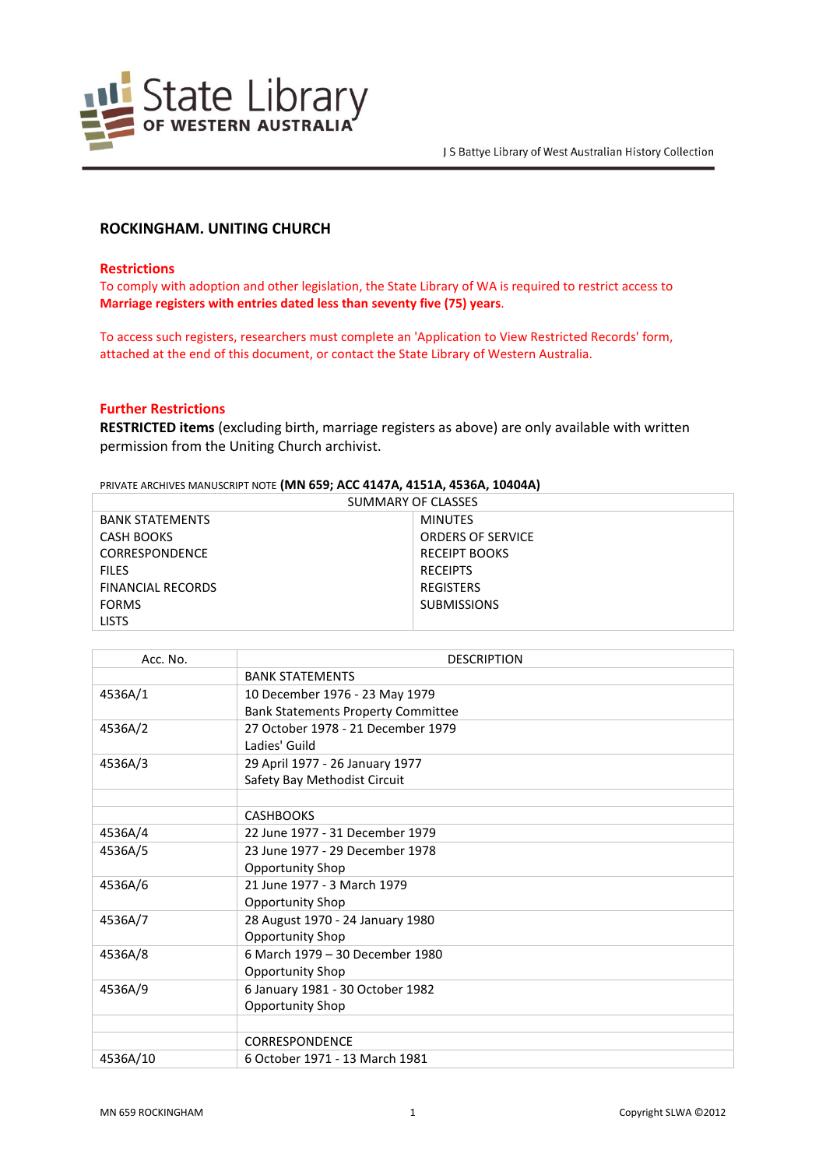

# **ROCKINGHAM. UNITING CHURCH**

### **Restrictions**

To comply with adoption and other legislation, the State Library of WA is required to restrict access to **Marriage registers with entries dated less than seventy five (75) years**.

To access such registers, researchers must complete an 'Application to View Restricted Records' form, attached at the end of this document, or contact the State Library of Western Australia.

## **Further Restrictions**

**RESTRICTED items** (excluding birth, marriage registers as above) are only available with written permission from the Uniting Church archivist.

# PRIVATE ARCHIVES MANUSCRIPT NOTE **(MN 659; ACC 4147A, 4151A, 4536A, 10404A)**

| SUMMARY OF CLASSES       |                          |  |
|--------------------------|--------------------------|--|
| <b>BANK STATEMENTS</b>   | <b>MINUTES</b>           |  |
| CASH BOOKS               | <b>ORDERS OF SERVICE</b> |  |
| <b>CORRESPONDENCE</b>    | <b>RECEIPT BOOKS</b>     |  |
| <b>FILES</b>             | <b>RECEIPTS</b>          |  |
| <b>FINANCIAL RECORDS</b> | <b>REGISTERS</b>         |  |
| <b>FORMS</b>             | <b>SUBMISSIONS</b>       |  |
| <b>LISTS</b>             |                          |  |

| Acc. No. | <b>DESCRIPTION</b>                        |
|----------|-------------------------------------------|
|          | <b>BANK STATEMENTS</b>                    |
| 4536A/1  | 10 December 1976 - 23 May 1979            |
|          | <b>Bank Statements Property Committee</b> |
| 4536A/2  | 27 October 1978 - 21 December 1979        |
|          | Ladies' Guild                             |
| 4536A/3  | 29 April 1977 - 26 January 1977           |
|          | Safety Bay Methodist Circuit              |
|          |                                           |
|          | <b>CASHBOOKS</b>                          |
| 4536A/4  | 22 June 1977 - 31 December 1979           |
| 4536A/5  | 23 June 1977 - 29 December 1978           |
|          | <b>Opportunity Shop</b>                   |
| 4536A/6  | 21 June 1977 - 3 March 1979               |
|          | <b>Opportunity Shop</b>                   |
| 4536A/7  | 28 August 1970 - 24 January 1980          |
|          | Opportunity Shop                          |
| 4536A/8  | 6 March 1979 - 30 December 1980           |
|          | Opportunity Shop                          |
| 4536A/9  | 6 January 1981 - 30 October 1982          |
|          | Opportunity Shop                          |
|          |                                           |
|          | CORRESPONDENCE                            |
| 4536A/10 | 6 October 1971 - 13 March 1981            |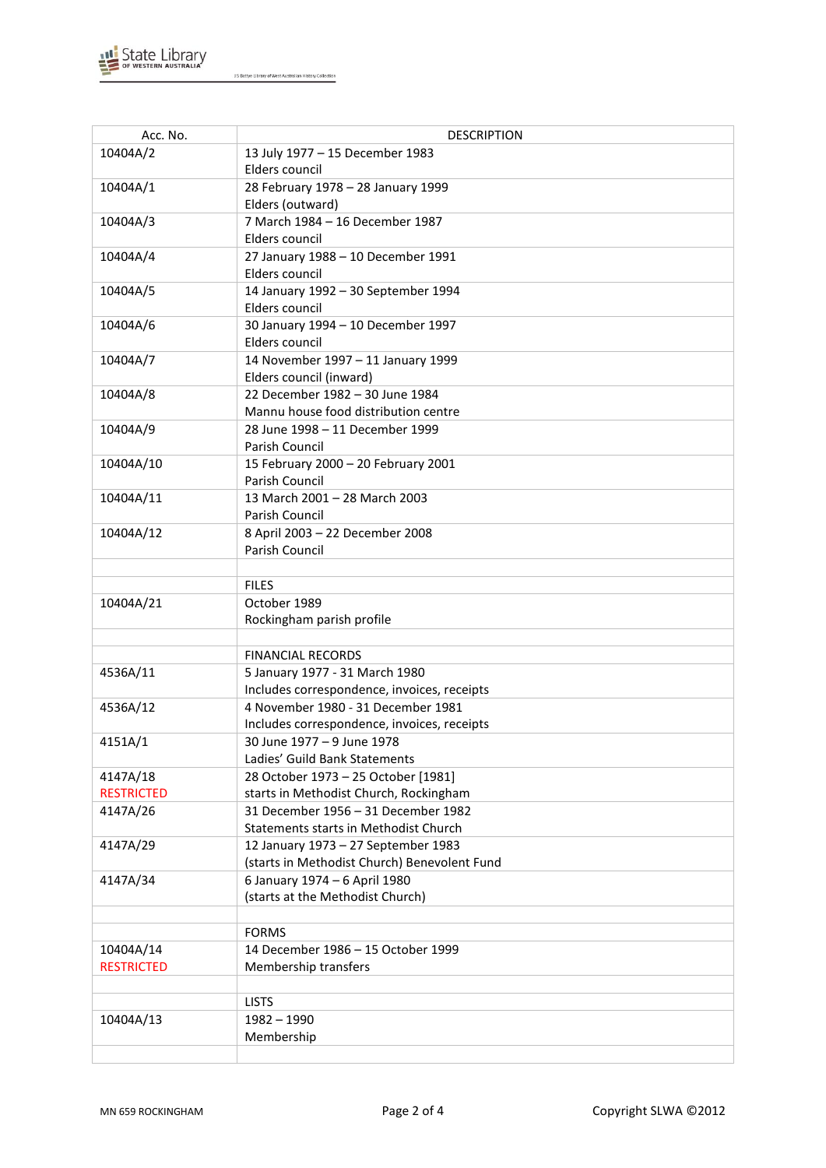

J S Battye Library of West Australian History Collection

| Acc. No.          | <b>DESCRIPTION</b>                           |
|-------------------|----------------------------------------------|
| 10404A/2          | 13 July 1977 - 15 December 1983              |
|                   | Elders council                               |
| 10404A/1          | 28 February 1978 - 28 January 1999           |
|                   | Elders (outward)                             |
| 10404A/3          | 7 March 1984 - 16 December 1987              |
|                   | Elders council                               |
| 10404A/4          | 27 January 1988 - 10 December 1991           |
|                   | Elders council                               |
| 10404A/5          | 14 January 1992 - 30 September 1994          |
|                   | Elders council                               |
| 10404A/6          | 30 January 1994 - 10 December 1997           |
|                   | Elders council                               |
| 10404A/7          | 14 November 1997 - 11 January 1999           |
|                   | Elders council (inward)                      |
| 10404A/8          | 22 December 1982 - 30 June 1984              |
|                   | Mannu house food distribution centre         |
| 10404A/9          | 28 June 1998 - 11 December 1999              |
|                   | Parish Council                               |
| 10404A/10         | 15 February 2000 - 20 February 2001          |
|                   | Parish Council                               |
| 10404A/11         | 13 March 2001 - 28 March 2003                |
|                   | Parish Council                               |
| 10404A/12         | 8 April 2003 - 22 December 2008              |
|                   | Parish Council                               |
|                   |                                              |
|                   | <b>FILES</b>                                 |
| 10404A/21         | October 1989                                 |
|                   | Rockingham parish profile                    |
|                   |                                              |
|                   | <b>FINANCIAL RECORDS</b>                     |
| 4536A/11          | 5 January 1977 - 31 March 1980               |
|                   | Includes correspondence, invoices, receipts  |
| 4536A/12          | 4 November 1980 - 31 December 1981           |
|                   | Includes correspondence, invoices, receipts  |
| 4151A/1           | 30 June 1977 - 9 June 1978                   |
|                   | Ladies' Guild Bank Statements                |
| 4147A/18          | 28 October 1973 - 25 October [1981]          |
| <b>RESTRICTED</b> | starts in Methodist Church, Rockingham       |
| 4147A/26          | 31 December 1956 - 31 December 1982          |
|                   | Statements starts in Methodist Church        |
| 4147A/29          | 12 January 1973 - 27 September 1983          |
|                   | (starts in Methodist Church) Benevolent Fund |
| 4147A/34          | 6 January 1974 - 6 April 1980                |
|                   | (starts at the Methodist Church)             |
|                   |                                              |
|                   | <b>FORMS</b>                                 |
| 10404A/14         | 14 December 1986 - 15 October 1999           |
| <b>RESTRICTED</b> | Membership transfers                         |
|                   |                                              |
|                   | <b>LISTS</b>                                 |
| 10404A/13         | $1982 - 1990$                                |
|                   | Membership                                   |
|                   |                                              |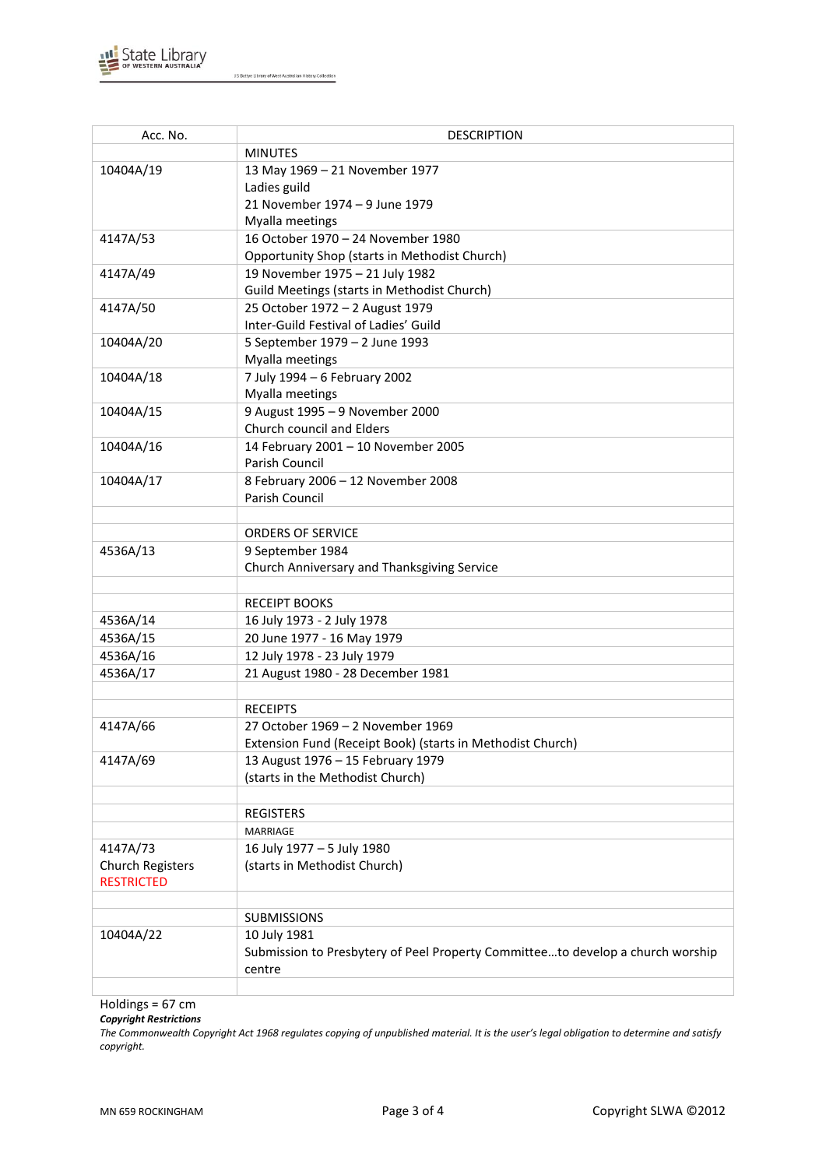

J S Battye Library of West Australian History Collection

| Acc. No.                                     | <b>DESCRIPTION</b>                                                                       |
|----------------------------------------------|------------------------------------------------------------------------------------------|
|                                              | <b>MINUTES</b>                                                                           |
| 10404A/19                                    | 13 May 1969 - 21 November 1977                                                           |
|                                              | Ladies guild                                                                             |
|                                              | 21 November 1974 - 9 June 1979                                                           |
|                                              | Myalla meetings                                                                          |
| 4147A/53                                     | 16 October 1970 - 24 November 1980                                                       |
|                                              | Opportunity Shop (starts in Methodist Church)                                            |
| 4147A/49                                     | 19 November 1975 - 21 July 1982                                                          |
|                                              | Guild Meetings (starts in Methodist Church)                                              |
| 4147A/50                                     | 25 October 1972 - 2 August 1979                                                          |
|                                              | Inter-Guild Festival of Ladies' Guild                                                    |
| 10404A/20                                    | 5 September 1979 - 2 June 1993                                                           |
|                                              | Myalla meetings                                                                          |
| 10404A/18                                    | 7 July 1994 - 6 February 2002                                                            |
|                                              | Myalla meetings                                                                          |
| 10404A/15                                    | 9 August 1995 - 9 November 2000                                                          |
|                                              | Church council and Elders                                                                |
| 10404A/16                                    | 14 February 2001 - 10 November 2005                                                      |
|                                              | Parish Council                                                                           |
| 10404A/17                                    | 8 February 2006 - 12 November 2008                                                       |
|                                              | Parish Council                                                                           |
|                                              |                                                                                          |
|                                              | <b>ORDERS OF SERVICE</b>                                                                 |
| 4536A/13                                     | 9 September 1984                                                                         |
|                                              | Church Anniversary and Thanksgiving Service                                              |
|                                              |                                                                                          |
|                                              | <b>RECEIPT BOOKS</b>                                                                     |
| 4536A/14                                     | 16 July 1973 - 2 July 1978                                                               |
| 4536A/15                                     | 20 June 1977 - 16 May 1979                                                               |
| 4536A/16                                     | 12 July 1978 - 23 July 1979                                                              |
| 4536A/17                                     | 21 August 1980 - 28 December 1981                                                        |
|                                              |                                                                                          |
|                                              | <b>RECEIPTS</b>                                                                          |
| 4147A/66                                     | 27 October 1969 - 2 November 1969                                                        |
|                                              | Extension Fund (Receipt Book) (starts in Methodist Church)                               |
| 4147A/69                                     | 13 August 1976 - 15 February 1979                                                        |
|                                              | (starts in the Methodist Church)                                                         |
|                                              |                                                                                          |
|                                              | <b>REGISTERS</b>                                                                         |
|                                              | <b>MARRIAGE</b>                                                                          |
| 4147A/73                                     | 16 July 1977 - 5 July 1980                                                               |
| <b>Church Registers</b><br><b>RESTRICTED</b> | (starts in Methodist Church)                                                             |
|                                              |                                                                                          |
|                                              | <b>SUBMISSIONS</b>                                                                       |
|                                              |                                                                                          |
| 10404A/22                                    | 10 July 1981                                                                             |
|                                              | Submission to Presbytery of Peel Property Committeeto develop a church worship<br>centre |
|                                              |                                                                                          |
|                                              |                                                                                          |

Holdings = 67 cm

*Copyright Restrictions*

*The Commonwealth Copyright Act 1968 regulates copying of unpublished material. It is the user's legal obligation to determine and satisfy copyright.*